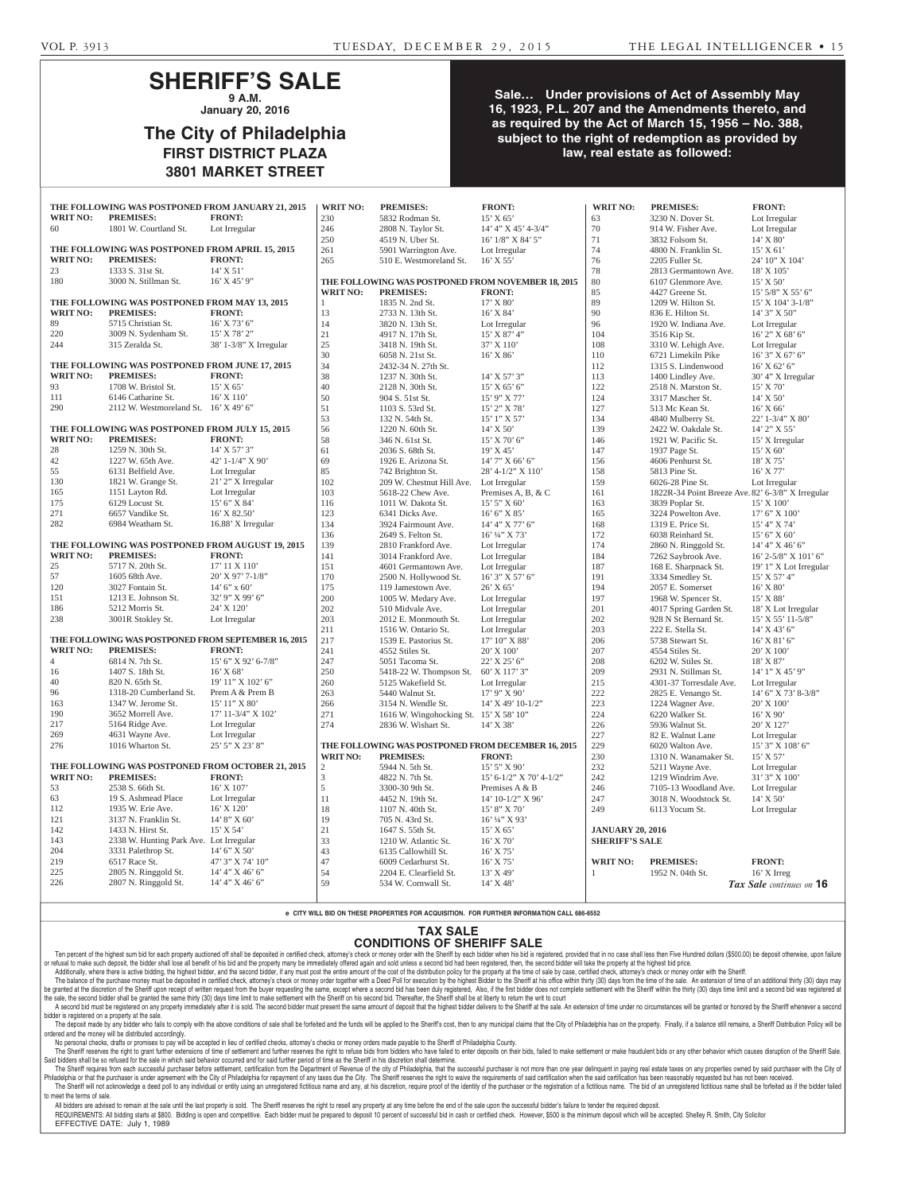## **SHERIFF'S SALE 9 A.M.**

**January 20, 2016**

## **The City of Philadelphia FIRST DISTRICT PLAZA 3801 MARKET STREET**

### **Sale… Under provisions of Act of Assembly May 16, 1923, P.L. 207 and the Amendments thereto, and as required by the Act of March 15, 1956 – No. 388, subject to the right of redemption as provided by law, real estate as followed:**

|                                                                                                           | THE FOLLOWING WAS POSTPONED FROM JANUARY 21, 2015   |                                  | <b>WRIT NO:</b>                               | <b>PREMISES:</b>                                                       | <b>FRONT:</b>                       | <b>WRIT NO:</b>         | <b>PREMISES:</b>                                  | <b>FRONT:</b>                     |
|-----------------------------------------------------------------------------------------------------------|-----------------------------------------------------|----------------------------------|-----------------------------------------------|------------------------------------------------------------------------|-------------------------------------|-------------------------|---------------------------------------------------|-----------------------------------|
| <b>WRIT NO:</b>                                                                                           | <b>PREMISES:</b>                                    | <b>FRONT:</b>                    | 230                                           | 5832 Rodman St.                                                        | $15'$ X 65'                         | 63                      | 3230 N. Dover St.                                 | Lot Irregular                     |
| 60                                                                                                        | 1801 W. Courtland St.                               | Lot Irregular                    | 246                                           | 2808 N. Taylor St.                                                     | 14' 4" X 45' 4-3/4"                 | 70                      | 914 W. Fisher Ave.                                | Lot Irregular                     |
|                                                                                                           |                                                     |                                  | 250                                           | 4519 N. Uber St.                                                       | 16' 1/8" X 84' 5"                   | 71                      | 3832 Folsom St.                                   | $14'$ X $80'$                     |
|                                                                                                           | THE FOLLOWING WAS POSTPONED FROM APRIL 15, 2015     |                                  | 261                                           | 5901 Warrington Ave.                                                   | Lot Irregular                       | 74                      | 4800 N. Franklin St.                              | $15'$ X 61'                       |
| <b>WRIT NO:</b>                                                                                           | <b>PREMISES:</b>                                    | <b>FRONT:</b>                    | 265                                           | 510 E. Westmoreland St.                                                | $16'$ X 55'                         | 76                      | 2205 Fuller St.                                   | 24' 10" X 104'                    |
| 23                                                                                                        | 1333 S. 31st St.                                    | $14'$ X 51'                      |                                               |                                                                        |                                     | 78                      | 2813 Germantown Ave.                              | 18' X 105'                        |
| 180                                                                                                       | 3000 N. Stillman St.                                | $16'$ X $45'$ 9"                 |                                               | THE FOLLOWING WAS POSTPONED FROM NOVEMBER 18, 2015                     |                                     | 80                      | 6107 Glenmore Ave.                                | $15'$ X 50'                       |
|                                                                                                           |                                                     |                                  | <b>WRIT NO:</b>                               | <b>PREMISES:</b>                                                       | <b>FRONT:</b>                       | 85                      | 4427 Greene St.                                   | $15'$ 5/8" X 55' 6"               |
| THE FOLLOWING WAS POSTPONED FROM MAY 13, 2015                                                             |                                                     |                                  | $\mathbf{1}$                                  | 1835 N. 2nd St.                                                        | 17' X 80'                           | 89                      | 1209 W. Hilton St.                                | 15' X 104' 3-1/8"                 |
| <b>WRIT NO:</b>                                                                                           | <b>PREMISES:</b>                                    | <b>FRONT:</b>                    | 13                                            | 2733 N. 13th St.                                                       | $16'$ X $84'$                       | 90                      | 836 E. Hilton St.                                 | 14' 3" X 50"                      |
| 89                                                                                                        | 5715 Christian St.                                  | $16'$ X 73' 6"                   | 14                                            | 3820 N. 13th St.                                                       | Lot Irregular                       | 96                      | 1920 W. Indiana Ave.                              | Lot Irregular                     |
| 220                                                                                                       | 3009 N. Sydenham St.                                | 15' X 78' 2"                     | 21                                            | 4917 N. 17th St.                                                       | $15'$ X 87' 4"                      | 104                     | 3516 Kip St.                                      | $16'$ 2" X 68' 6"                 |
| 244                                                                                                       | 315 Zeralda St.                                     | 38' 1-3/8" X Irregular           | 25                                            | 3418 N. 19th St.                                                       | 37' X 110'                          | 108                     | 3310 W. Lehigh Ave.                               | Lot Irregular                     |
|                                                                                                           |                                                     |                                  | 30                                            | 6058 N. 21st St.                                                       | $16'$ X $86'$                       | 110                     | 6721 Limekiln Pike                                | 16' 3" X 67' 6"                   |
|                                                                                                           | THE FOLLOWING WAS POSTPONED FROM JUNE 17, 2015      |                                  | 34                                            | 2432-34 N. 27th St.                                                    |                                     | 112                     | 1315 S. Lindenwood                                | $16'$ X 62' 6"                    |
| <b>WRIT NO:</b>                                                                                           | <b>PREMISES:</b>                                    | <b>FRONT:</b>                    | 38                                            | 1237 N. 30th St.                                                       | $14'$ X 57' 3"                      | 113                     | 1400 Lindley Ave.                                 | 30' 4" X Irregular                |
| 93                                                                                                        | 1708 W. Bristol St.                                 | 15' X 65'                        | 40                                            | 2128 N. 30th St.                                                       | $15'$ X 65' 6"                      | 122                     | 2518 N. Marston St.                               | 15' X 70'                         |
| 111                                                                                                       | 6146 Catharine St.                                  | $16'$ X $110'$                   | 50                                            | 904 S. 51st St.                                                        | $15'$ 9" X 77'                      | 124                     | 3317 Mascher St.                                  | $14'$ X 50'                       |
| 290                                                                                                       | 2112 W. Westmoreland St. 16' X 49' 6"               |                                  | 51                                            | 1103 S. 53rd St.                                                       | 15' 2" X 78'                        | 127                     | 513 Mc Kean St.                                   | $16'$ X 66'                       |
|                                                                                                           |                                                     |                                  | 53                                            | 132 N. 54th St.                                                        | $15'1''$ X 57'                      | 134                     | 4840 Mulberry St.                                 | 22' 1-3/4" X 80'                  |
|                                                                                                           | THE FOLLOWING WAS POSTPONED FROM JULY 15, 2015      |                                  | 56                                            | 1220 N. 60th St.                                                       | $14'$ X 50'                         | 139                     | 2422 W. Oakdale St.                               | 14' 2" X 55'                      |
| <b>WRIT NO:</b>                                                                                           | <b>PREMISES:</b>                                    | <b>FRONT:</b>                    | 58                                            | 346 N. 61st St.                                                        | 15' X 70' 6"                        | 146                     | 1921 W. Pacific St.                               | 15' X Irregular                   |
| 28                                                                                                        | 1259 N. 30th St.                                    | $14'$ X 57' 3"                   | 61                                            | 2036 S. 68th St.                                                       | 19' X 45'                           | 147                     | 1937 Page St.                                     | 15' X 60'                         |
| 42                                                                                                        | 1227 W. 65th Ave.                                   | 42' 1-1/4" $X$ 90'               | 69                                            | 1926 E. Arizona St.                                                    | $14'$ 7" X 66' 6"                   | 156                     | 4606 Penhurst St.                                 | 18' X 75'                         |
| 55                                                                                                        | 6131 Belfield Ave.                                  | Lot Irregular                    | 85                                            | 742 Brighton St.                                                       | 28' 4-1/2" X 110'                   | 158                     | 5813 Pine St.                                     | 16' X 77'                         |
| 130                                                                                                       | 1821 W. Grange St.                                  | 21' 2" X Irregular               | 102                                           | 209 W. Chestnut Hill Ave.                                              | Lot Irregular                       | 159                     | 6026-28 Pine St.                                  | Lot Irregular                     |
| 165                                                                                                       | 1151 Layton Rd.                                     | Lot Irregular                    | 103                                           | 5618-22 Chew Ave.                                                      | Premises A, B, $& C$                | 161                     | 1822R-34 Point Breeze Ave. 82' 6-3/8" X Irregular |                                   |
| 175                                                                                                       | 6129 Locust St.                                     | 15' 6" X 84'                     | 116                                           | 1011 W. Dakota St.                                                     | $15'5''$ X 60'                      | 163                     | 3839 Poplar St.                                   | $15'$ X $100'$                    |
| 271                                                                                                       | 6657 Vandike St.                                    | $16'$ X 82.50'                   | 123                                           | 6341 Dicks Ave.                                                        | 16' 6''  X 85'                      | 165                     | 3224 Powelton Ave.                                | $17'$ 6" X $100'$                 |
| 282                                                                                                       | 6984 Weatham St.                                    | 16.88' X Irregular               | 134                                           | 3924 Fairmount Ave.                                                    | 14' 4''  X 77' 6''                  | 168                     | 1319 E. Price St.                                 | 15' 4" X 74'                      |
|                                                                                                           |                                                     |                                  | 136                                           | 2649 S. Felton St.                                                     | $16'$ ¼" X 73'                      | 172                     | 6038 Reinhard St.                                 | 15' 6'' X 60'                     |
|                                                                                                           | THE FOLLOWING WAS POSTPONED FROM AUGUST 19, 2015    |                                  | 139                                           | 2810 Frankford Ave.                                                    | Lot Irregular                       | 174                     | 2860 N. Ringgold St.                              | 14' 4'' X 46' 6''                 |
| <b>WRIT NO:</b>                                                                                           | <b>PREMISES:</b>                                    | <b>FRONT:</b>                    | 141                                           | 3014 Frankford Ave.                                                    | Lot Irregular                       | 184                     | 7262 Saybrook Ave.                                | 16' 2-5/8" X 101' 6"              |
| 25                                                                                                        | 5717 N. 20th St.                                    | 17' 11 X 110'                    | 151                                           | 4601 Germantown Ave.                                                   | Lot Irregular                       | 187                     | 168 E. Sharpnack St.                              | 19' 1" X Lot Irregular            |
| 57                                                                                                        | 1605 68th Ave.                                      | $20'$ X 97' 7-1/8"               | 170                                           | 2500 N. Hollywood St.                                                  | $16'$ 3" X 57' 6"                   | 191                     | 3334 Smedley St.                                  | 15' X 57' 4"                      |
| 120                                                                                                       | 3027 Fontain St.                                    | $14'$ 6" x 60"                   | 175                                           | 119 Jamestown Ave.                                                     | 26' X 65'                           | 194                     | 2057 E. Somerset                                  | 16' X 80'                         |
| 151                                                                                                       | 1213 E. Johnson St.                                 | 32' 9" X 99' 6"                  | 200                                           | 1005 W. Medary Ave.                                                    | Lot Irregular                       | 197                     | 1968 W. Spencer St.                               | 15' X 88'                         |
| 186                                                                                                       | 5212 Morris St.                                     | 24' X 120'                       | 202                                           | 510 Midvale Ave.                                                       | Lot Irregular                       | 201                     | 4017 Spring Garden St.                            | 18' X Lot Irregular               |
| 238                                                                                                       | 3001R Stokley St.                                   | Lot Irregular                    | 203                                           | 2012 E. Monmouth St.                                                   | Lot Irregular                       | 202                     | 928 N St Bernard St.                              | $15'$ X 55' 11-5/8"               |
|                                                                                                           |                                                     |                                  | 211                                           | 1516 W. Ontario St.                                                    | Lot Irregular                       | 203                     | 222 E. Stella St.                                 | $14'$ X 43' 6"                    |
|                                                                                                           | THE FOLLOWING WAS POSTPONED FROM SEPTEMBER 16, 2015 |                                  | 217                                           | 1539 E. Pastorius St.                                                  | 17' 10" X 88'                       | 206                     | 5738 Stewart St.                                  | $16'$ X $81'$ 6"                  |
| <b>WRIT NO:</b>                                                                                           | <b>PREMISES:</b>                                    | <b>FRONT:</b>                    | 241                                           | 4552 Stiles St.                                                        | 20' X 100'                          | 207                     | 4554 Stiles St.                                   | 20' X 100'                        |
| $\overline{4}$                                                                                            | 6814 N. 7th St.                                     | 15' 6" X 92' 6-7/8"              | 247                                           | 5051 Tacoma St.                                                        | $22'$ X $25'$ 6"                    | 208                     | 6202 W. Stiles St.                                | 18' X 87'                         |
| 16                                                                                                        | 1407 S. 18th St.                                    | $16'$ X 68'                      | 250                                           | 5418-22 W. Thompson St.                                                |                                     | 209                     |                                                   | $14'1''$ X $45'9''$               |
| 40                                                                                                        | 820 N. 65th St.                                     | $19'$ $11''$ X $102'$ 6"         | 260                                           | 5125 Wakefield St.                                                     | 60' X 117' 3"<br>Lot Irregular      | 215                     | 2931 N. Stillman St.<br>4301-37 Torresdale Ave.   | Lot Irregular                     |
| 96                                                                                                        | 1318-20 Cumberland St.                              |                                  |                                               |                                                                        |                                     |                         |                                                   |                                   |
| 163                                                                                                       | 1347 W. Jerome St.                                  | Prem A & Prem B<br>15' 11" X 80' | 263<br>266                                    | 5440 Walnut St.<br>3154 N. Wendle St.                                  | $17'$ 9" X 90"<br>14' X 49' 10-1/2" | 222<br>223              | 2825 E. Venango St.<br>1224 Wagner Ave.           | 14' 6" X 73' 8-3/8"<br>20' X 100' |
| 190                                                                                                       | 3652 Morrell Ave.                                   | 17' 11-3/4" X 102'               | 271                                           | 1616 W. Wingohocking St. 15' X 58' 10"                                 |                                     | 224                     | 6220 Walker St.                                   | $16'$ X 90'                       |
| 217                                                                                                       | 5164 Ridge Ave.                                     |                                  | 274                                           | 2836 W. Wishart St.                                                    |                                     |                         | 5936 Walnut St.                                   | 20' X 127'                        |
| 269                                                                                                       | 4631 Wayne Ave.                                     | Lot Irregular<br>Lot Irregular   |                                               |                                                                        | 14' X 38'                           | 226<br>227              | 82 E. Walnut Lane                                 | Lot Irregular                     |
| 276                                                                                                       | 1016 Wharton St.                                    | 25' 5" X 23' 8"                  |                                               |                                                                        |                                     |                         |                                                   | 15' 3" X 108' 6"                  |
|                                                                                                           |                                                     |                                  | <b>WRIT NO:</b>                               | THE FOLLOWING WAS POSTPONED FROM DECEMBER 16, 2015<br><b>PREMISES:</b> | <b>FRONT:</b>                       | 229<br>230              | 6020 Walton Ave.<br>1310 N. Wanamaker St.         | 15' X 57'                         |
|                                                                                                           |                                                     |                                  |                                               | 5944 N. 5th St.                                                        | 15' 5" X 90'                        | 232                     | 5211 Wayne Ave.                                   | Lot Irregular                     |
| THE FOLLOWING WAS POSTPONED FROM OCTOBER 21, 2015<br><b>WRIT NO:</b><br><b>PREMISES:</b><br><b>FRONT:</b> |                                                     |                                  | $\overline{c}$<br>$\ensuremath{\mathfrak{Z}}$ |                                                                        |                                     | 242                     | 1219 Windrim Ave.                                 | 31' 3" X 100'                     |
|                                                                                                           | 2538 S. 66th St.                                    | 16' X 107'                       |                                               | 4822 N. 7th St.                                                        | $15' 6 - 1/2''  X 70' 4 - 1/2''$    |                         |                                                   |                                   |
| 53<br>63                                                                                                  |                                                     |                                  | $\sqrt{5}$                                    | 3300-30 9th St.                                                        | Premises A & B                      | 246                     | 7105-13 Woodland Ave.                             | Lot Irregular                     |
|                                                                                                           | 19 S. Ashmead Place                                 | Lot Irregular                    | 11                                            | 4452 N. 19th St.                                                       | 14' 10-1/2" X 96'                   | 247                     | 3018 N. Woodstock St.                             | $14'$ X 50'                       |
| 112                                                                                                       | 1935 W. Erie Ave.                                   | 16' X 120'                       | 18                                            | 1107 N. 40th St.                                                       | 15' 8" X 70'                        | 249                     | 6113 Yocum St.                                    | Lot Irregular                     |
| 121                                                                                                       | 3137 N. Franklin St.                                | 14' 8" X 60'                     | 19                                            | 705 N. 43rd St.                                                        | 16' 1/4" X 93'                      |                         |                                                   |                                   |
| 142                                                                                                       | 1433 N. Hirst St.                                   | 15' X 54'                        | 21                                            | 1647 S. 55th St.                                                       | 15' X 65'                           | <b>JANUARY 20, 2016</b> |                                                   |                                   |
| 143                                                                                                       | 2338 W. Hunting Park Ave. Lot Irregular             |                                  | 33                                            | 1210 W. Atlantic St.                                                   | 16' X 70'                           | <b>SHERIFF'S SALE</b>   |                                                   |                                   |
| 204                                                                                                       | 3331 Palethrop St.                                  | $14'$ 6" X 50"                   | 43                                            | 6135 Callowhill St.                                                    | 16' X 75'                           |                         |                                                   |                                   |
| 219                                                                                                       | 6517 Race St.                                       | 47' 3" X 74' 10"                 | 47                                            | 6009 Cedarhurst St.                                                    | 16' X 75'                           | <b>WRIT NO:</b>         | <b>PREMISES:</b>                                  | <b>FRONT:</b>                     |
| 225                                                                                                       | 2805 N. Ringgold St.                                | 14' 4'' X 46' 6''                | 54                                            | 2204 E. Clearfield St.                                                 | 13' X 49'                           |                         | 1952 N. 04th St.                                  | 16' X Irreg                       |
| 226                                                                                                       | 2807 N. Ringgold St.                                | 14' 4" X 46' 6"                  | 59                                            | 534 W. Cornwall St.                                                    | 14' X 48'                           |                         |                                                   | Tax Sale continues on 16          |

**e CITY WILL BID ON THESE PROPERTIES FOR ACQUISITION. FOR FURTHER INFORMATION CALL 686-6552**

#### **TAX SALE CONDITIONS OF SHERIFF SALE**

Ten percent of the highest sum bid for each property auctioned off shall be deposited in certified check, attorney's check or money order with the Sheriff by each bidder when his bid is registered, provided that in no case or retusal to make such deposit, the bidder shall lose all benetit of his bid and the property many be immediately offered again and sold unless a second bid had been registered, then, the second bidder will take the prope

The balance of the purchase money must be deposited in certified check, attorney's check or money order together with a Deed Poll for execution by the highest Bidder to the Sheriff at his office within thirty (30) days fro be granted at the discretion of the Sheriff upon receipt of written request from the buyer requesting the same, except where a second bid has been duly registered, Also, if the first bidder does not complete settlement wit

A second bid must be registered on any property immediately after it is sold. The second bidder must present the same amount of deposit that the highest bidder delivers to the Sheriff at the sale. An extension of time unde bidder is registered on a property at the sale.

The deposit made by any bidder who fails to comply with the above conditions of sale shall be forfeited and the funds will be applied to the Sheriff's cost, then to any municipal claims that the City of Philadelphia has on lered and the money will be distributed accordingly.

No personal checks, dratts or promises to pay will be accepted in lieu of certified checks, attorney's checks or money orders made payable to the Sheriff of Philadelphia County.<br>The Sheriff reserves the right to grant funt

Said bidders shall be so refused for the sale in which said behavior occurred and for said further period of time as the Sheriff in his discretion shall determine.

The Sheriff requires from each successtul purchaser before settlement, certification from the Department of Revenue of the city of Philadelphia, that the successtul purchaser is not more than one year delinquent in paying The Sheriff will not acknowledge a deed poll to any individual or entity using an unregistered fictitious name and any, at his discretion, require proof of the identity of the purchaser or the registration of a fictitious to meet the terms of sale.

All bidders are advised to remain at the sale until the last property is sold. The Sheriff reserves the right to resell any property at any time before the end of the sale upon the successful bidder's failure to tender the REQUIREMENTS: All bidding starts at \$800. Bidding is open and competitive. Each bidder must be prepared to deposit 10 percent of successful bid in cash or certified check. However, \$500 is the minimum deposit which will be EFFECTIVE DATE: July 1, 1989